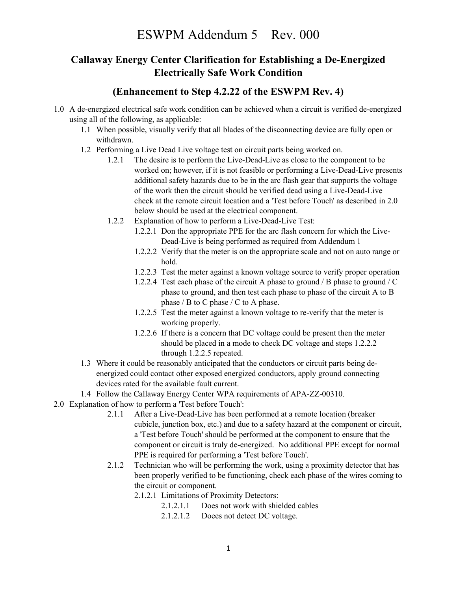## Callaway Energy Center Clarification for Establishing a De-Energized Electrically Safe Work Condition

## (Enhancement to Step 4.2.22 of the ESWPM Rev. 4)

- 1.0 A de-energized electrical safe work condition can be achieved when a circuit is verified de-energized using all of the following, as applicable:
	- 1.1 When possible, visually verify that all blades of the disconnecting device are fully open or withdrawn.
	- 1.2 Performing a Live Dead Live voltage test on circuit parts being worked on.
		- 1.2.1 The desire is to perform the Live-Dead-Live as close to the component to be worked on; however, if it is not feasible or performing a Live-Dead-Live presents additional safety hazards due to be in the arc flash gear that supports the voltage of the work then the circuit should be verified dead using a Live-Dead-Live check at the remote circuit location and a 'Test before Touch' as described in 2.0 below should be used at the electrical component.
		- 1.2.2 Explanation of how to perform a Live-Dead-Live Test:
			- 1.2.2.1 Don the appropriate PPE for the arc flash concern for which the Live-Dead-Live is being performed as required from Addendum 1
			- 1.2.2.2 Verify that the meter is on the appropriate scale and not on auto range or hold.
			- 1.2.2.3 Test the meter against a known voltage source to verify proper operation
			- 1.2.2.4 Test each phase of the circuit A phase to ground / B phase to ground / C phase to ground, and then test each phase to phase of the circuit A to B phase / B to C phase / C to A phase.
			- 1.2.2.5 Test the meter against a known voltage to re-verify that the meter is working properly.
			- 1.2.2.6 If there is a concern that DC voltage could be present then the meter should be placed in a mode to check DC voltage and steps 1.2.2.2 through 1.2.2.5 repeated.
	- 1.3 Where it could be reasonably anticipated that the conductors or circuit parts being deenergized could contact other exposed energized conductors, apply ground connecting devices rated for the available fault current.
	- 1.4 Follow the Callaway Energy Center WPA requirements of APA-ZZ-00310.
- 2.0 Explanation of how to perform a 'Test before Touch':
	- 2.1.1 After a Live-Dead-Live has been performed at a remote location (breaker cubicle, junction box, etc.) and due to a safety hazard at the component or circuit, a 'Test before Touch' should be performed at the component to ensure that the component or circuit is truly de-energized. No additional PPE except for normal PPE is required for performing a 'Test before Touch'.
	- 2.1.2 Technician who will be performing the work, using a proximity detector that has been properly verified to be functioning, check each phase of the wires coming to the circuit or component.
		- 2.1.2.1 Limitations of Proximity Detectors:
			- 2.1.2.1.1 Does not work with shielded cables
			- 2.1.2.1.2 Doees not detect DC voltage.